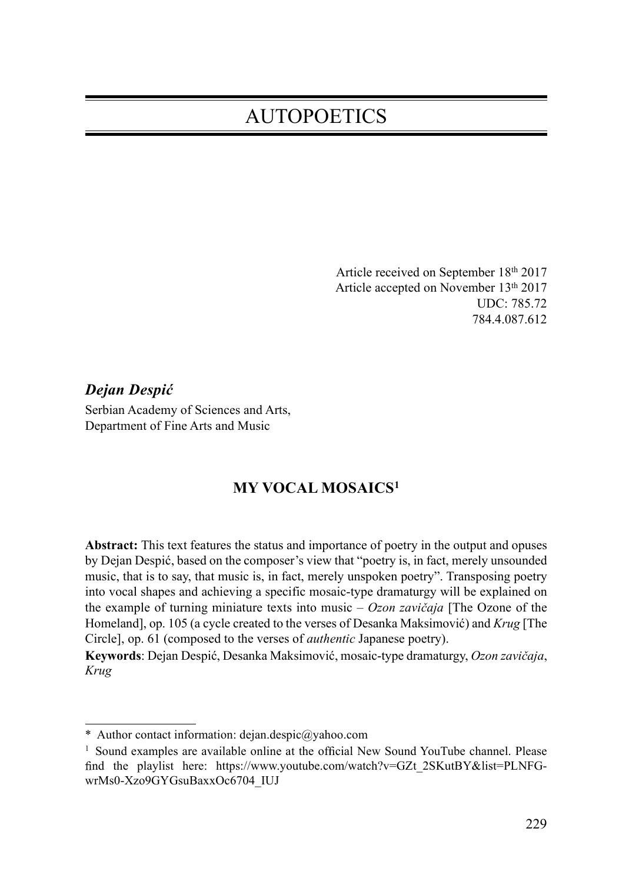# **AUTOPOETICS**

Article received on September 18th 2017 Article accepted on November 13th 2017 UDC: 785.72 784.4.087.612

Dejan Despić Serbian Academy of Sciences and Arts, Department of Fine Arts and Music

## MY VOCAL MOSAICS1

Abstract: This text features the status and importance of poetry in the output and opuses by Dejan Despić, based on the composer's view that "poetry is, in fact, merely unsounded music, that is to say, that music is, in fact, merely unspoken poetry". Transposing poetry into vocal shapes and achieving a specific mosaic-type dramaturgy will be explained on the example of turning miniature texts into music –  $Ozon zavičaja$  [The Ozone of the Homeland], op. 105 (a cycle created to the verses of Desanka Maksimović) and Krug [The Circle], op. 61 (composed to the verses of authentic Japanese poetry).

Keywords: Dejan Despić, Desanka Maksimović, mosaic-type dramaturgy, Ozon zavičaja, Krug

<sup>\*</sup> Author contact information: dejan.despic@yahoo.com

 $<sup>1</sup>$  Sound examples are available online at the official New Sound YouTube channel. Please</sup> find the playlist here: https://www.youtube.com/watch?v=GZt\_2SKutBY&list=PLNFGwrMs0-Xzo9GYGsuBaxxOc6704\_IUJ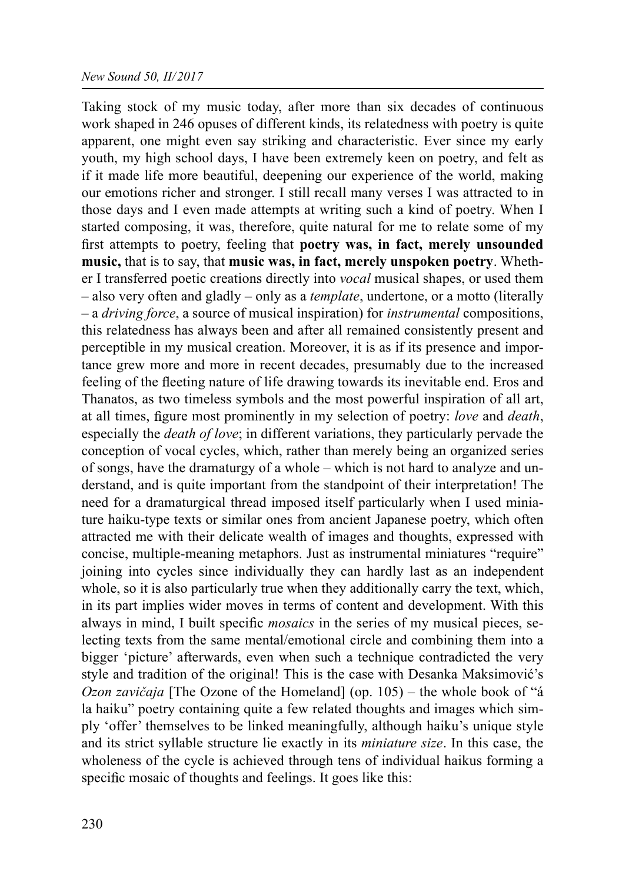#### New Sound 50, II/2017

Taking stock of my music today, after more than six decades of continuous work shaped in 246 opuses of different kinds, its relatedness with poetry is quite apparent, one might even say striking and characteristic. Ever since my early youth, my high school days, I have been extremely keen on poetry, and felt as if it made life more beautiful, deepening our experience of the world, making our emotions richer and stronger. I still recall many verses I was attracted to in those days and I even made attempts at writing such a kind of poetry. When I started composing, it was, therefore, quite natural for me to relate some of my first attempts to poetry, feeling that poetry was, in fact, merely unsounded music, that is to say, that music was, in fact, merely unspoken poetry. Whether I transferred poetic creations directly into *vocal* musical shapes, or used them – also very often and gladly – only as a template, undertone, or a motto (literally – a driving force, a source of musical inspiration) for instrumental compositions, this relatedness has always been and after all remained consistently present and perceptible in my musical creation. Moreover, it is as if its presence and importance grew more and more in recent decades, presumably due to the increased feeling of the fleeting nature of life drawing towards its inevitable end. Eros and Thanatos, as two timeless symbols and the most powerful inspiration of all art, at all times, figure most prominently in my selection of poetry: love and death, especially the *death of love*; in different variations, they particularly pervade the conception of vocal cycles, which, rather than merely being an organized series of songs, have the dramaturgy of a whole – which is not hard to analyze and understand, and is quite important from the standpoint of their interpretation! The need for a dramaturgical thread imposed itself particularly when I used miniature haiku-type texts or similar ones from ancient Japanese poetry, which often attracted me with their delicate wealth of images and thoughts, expressed with concise, multiple-meaning metaphors. Just as instrumental miniatures "require" joining into cycles since individually they can hardly last as an independent whole, so it is also particularly true when they additionally carry the text, which, in its part implies wider moves in terms of content and development. With this always in mind, I built specific *mosaics* in the series of my musical pieces, selecting texts from the same mental/emotional circle and combining them into a bigger 'picture' afterwards, even when such a technique contradicted the very style and tradition of the original! This is the case with Desanka Maksimović's *Ozon zavičaja* [The Ozone of the Homeland] (op.  $105$ ) – the whole book of "á" la haiku" poetry containing quite a few related thoughts and images which simply 'offer' themselves to be linked meaningfully, although haiku's unique style and its strict syllable structure lie exactly in its miniature size. In this case, the wholeness of the cycle is achieved through tens of individual haikus forming a specific mosaic of thoughts and feelings. It goes like this: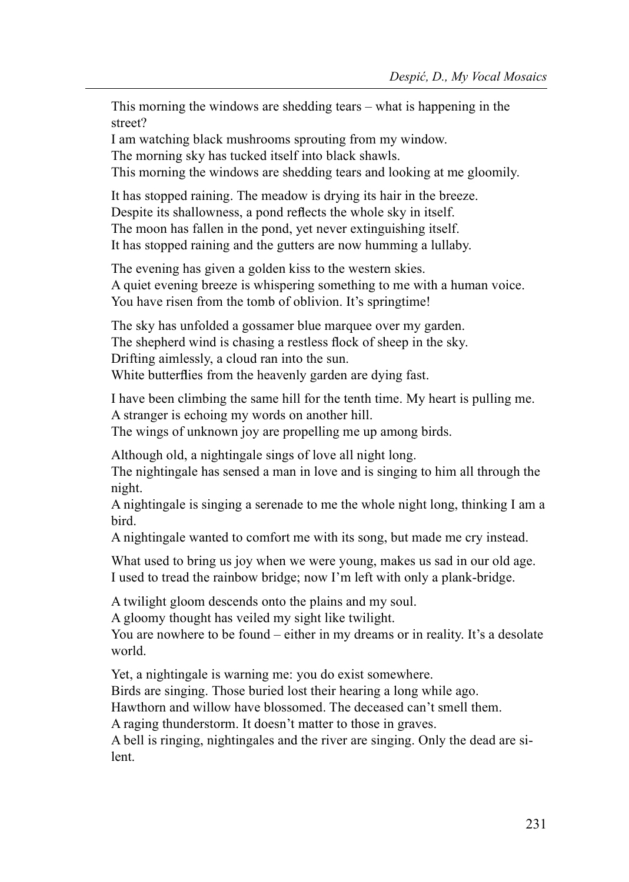This morning the windows are shedding tears – what is happening in the street?

I am watching black mushrooms sprouting from my window.

The morning sky has tucked itself into black shawls.

This morning the windows are shedding tears and looking at me gloomily.

It has stopped raining. The meadow is drying its hair in the breeze. Despite its shallowness, a pond reflects the whole sky in itself. The moon has fallen in the pond, yet never extinguishing itself. It has stopped raining and the gutters are now humming a lullaby.

The evening has given a golden kiss to the western skies. A quiet evening breeze is whispering something to me with a human voice. You have risen from the tomb of oblivion. It's springtime!

The sky has unfolded a gossamer blue marquee over my garden. The shepherd wind is chasing a restless flock of sheep in the sky. Drifting aimlessly, a cloud ran into the sun. White butter flies from the heavenly garden are dying fast.

I have been climbing the same hill for the tenth time. My heart is pulling me. A stranger is echoing my words on another hill. The wings of unknown joy are propelling me up among birds.

Although old, a nightingale sings of love all night long.

The nightingale has sensed a man in love and is singing to him all through the night.

A nightingale is singing a serenade to me the whole night long, thinking I am a bird.

A nightingale wanted to comfort me with its song, but made me cry instead.

What used to bring us joy when we were young, makes us sad in our old age. I used to tread the rainbow bridge; now I'm left with only a plank-bridge.

A twilight gloom descends onto the plains and my soul.

A gloomy thought has veiled my sight like twilight.

You are nowhere to be found – either in my dreams or in reality. It's a desolate world.

Yet, a nightingale is warning me: you do exist somewhere.

Birds are singing. Those buried lost their hearing a long while ago.

Hawthorn and willow have blossomed. The deceased can't smell them.

A raging thunderstorm. It doesn't matter to those in graves.

A bell is ringing, nightingales and the river are singing. Only the dead are silent.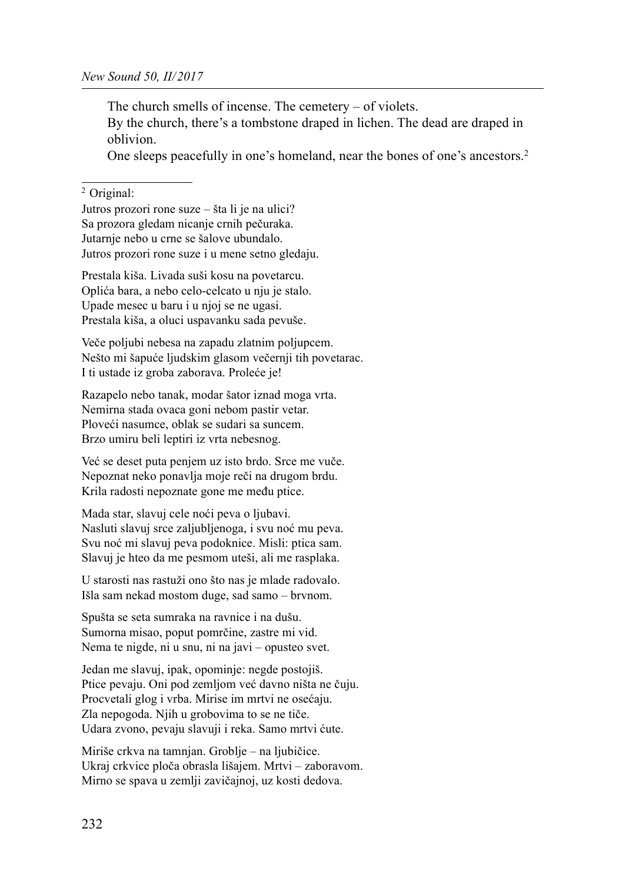The church smells of incense. The cemetery – of violets.

By the church, there's a tombstone draped in lichen. The dead are draped in oblivion.

One sleeps peacefully in one's homeland, near the bones of one's ancestors.2

#### 2 Original:

Jutros prozori rone suze – šta li je na ulici? Sa prozora gledam nicanje crnih pečuraka. Jutarnje nebo u crne se šalove ubundalo. Jutros prozori rone suze i u mene setno gledaju.

Prestala kiša. Livada suši kosu na povetarcu. Oplića bara, a nebo celo-celcato u nju je stalo. Upade mesec u baru i u njoj se ne ugasi. Prestala kiša, a oluci uspavanku sada pevuše.

Veče poljubi nebesa na zapadu zlatnim poljupcem. Nešto mi šapuće ljudskim glasom večernji tih povetarac. I ti ustade iz groba zaborava. Proleće je!

Razapelo nebo tanak, modar šator iznad moga vrta. Nemirna stada ovaca goni nebom pastir vetar. Ploveći nasumce, oblak se sudari sa suncem. Brzo umiru beli leptiri iz vrta nebesnog.

Već se deset puta penjem uz isto brdo. Srce me vuče. Nepoznat neko ponavlja moje reči na drugom brdu. Krila radosti nepoznate gone me među ptice.

Mada star, slavuj cele noći peva o ljubavi. Nasluti slavuj srce zaljubljenoga, i svu noć mu peva. Svu noć mi slavuj peva podoknice. Misli: ptica sam. Slavuj je hteo da me pesmom uteši, ali me rasplaka.

U starosti nas rastuži ono što nas je mlade radovalo. Išla sam nekad mostom duge, sad samo – brvnom.

Spušta se seta sumraka na ravnice i na dušu. Sumorna misao, poput pomrčine, zastre mi vid. Nema te nigde, ni u snu, ni na javi – opusteo svet.

Jedan me slavuj, ipak, opominje: negde postojiš. Ptice pevaju. Oni pod zemljom već davno ništa ne čuju. Procvetali glog i vrba. Mirise im mrtvi ne osećaju. Zla nepogoda. Njih u grobovima to se ne tiče. Udara zvono, pevaju slavuji i reka. Samo mrtvi ćute.

Miriše crkva na tamnjan. Groblje – na ljubičice. Ukraj crkvice ploča obrasla lišajem. Mrtvi – zaboravom. Mirno se spava u zemlji zavičajnoj, uz kosti dedova.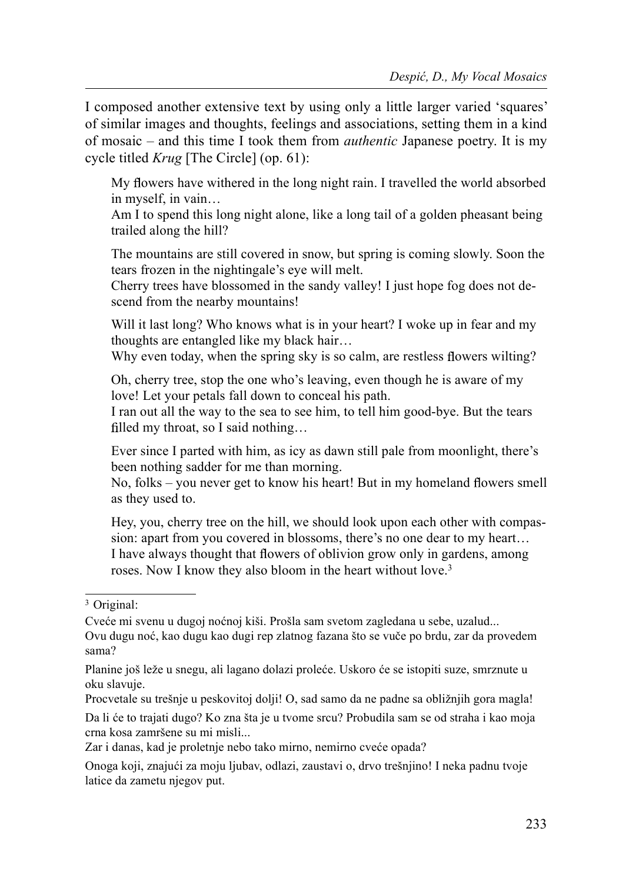I composed another extensive text by using only a little larger varied 'squares' of similar images and thoughts, feelings and associations, setting them in a kind of mosaic – and this time I took them from authentic Japanese poetry. It is my cycle titled Krug [The Circle] (op. 61):

My flowers have withered in the long night rain. I travelled the world absorbed in myself, in vain…

Am I to spend this long night alone, like a long tail of a golden pheasant being trailed along the hill?

The mountains are still covered in snow, but spring is coming slowly. Soon the tears frozen in the nightingale's eye will melt.

Cherry trees have blossomed in the sandy valley! I just hope fog does not descend from the nearby mountains!

Will it last long? Who knows what is in your heart? I woke up in fear and my thoughts are entangled like my black hair…

Why even today, when the spring sky is so calm, are restless flowers wilting?

Oh, cherry tree, stop the one who's leaving, even though he is aware of my love! Let your petals fall down to conceal his path.

I ran out all the way to the sea to see him, to tell him good-bye. But the tears filled my throat, so I said nothing...

Ever since I parted with him, as icy as dawn still pale from moonlight, there's been nothing sadder for me than morning.

No, folks – you never get to know his heart! But in my homeland flowers smell as they used to.

Hey, you, cherry tree on the hill, we should look upon each other with compassion: apart from you covered in blossoms, there's no one dear to my heart… I have always thought that flowers of oblivion grow only in gardens, among roses. Now I know they also bloom in the heart without love.<sup>3</sup>

Da li će to trajati dugo? Ko zna šta je u tvome srcu? Probudila sam se od straha i kao moja crna kosa zamršene su mi misli...

Zar i danas, kad je proletnje nebo tako mirno, nemirno cveće opada?

Onoga koji, znajući za moju ljubav, odlazi, zaustavi o, drvo trešnjino! I neka padnu tvoje latice da zametu njegov put.

<sup>3</sup> Original:

Cveće mi svenu u dugoj noćnoj kiši. Prošla sam svetom zagledana u sebe, uzalud... Ovu dugu noć, kao dugu kao dugi rep zlatnog fazana što se vuče po brdu, zar da provedem sama?

Planine još leže u snegu, ali lagano dolazi proleće. Uskoro će se istopiti suze, smrznute u oku slavuje.

Procvetale su trešnje u peskovitoj dolji! O, sad samo da ne padne sa obližnjih gora magla!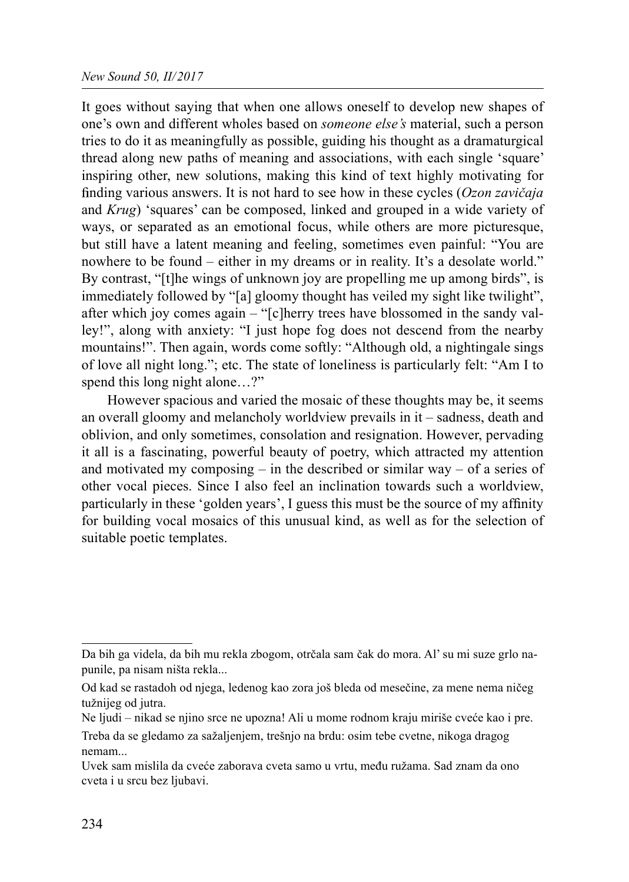It goes without saying that when one allows oneself to develop new shapes of one's own and different wholes based on someone else's material, such a person tries to do it as meaningfully as possible, guiding his thought as a dramaturgical thread along new paths of meaning and associations, with each single 'square' inspiring other, new solutions, making this kind of text highly motivating for finding various answers. It is not hard to see how in these cycles  $(Ozon zavičaja)$ and Krug) 'squares' can be composed, linked and grouped in a wide variety of ways, or separated as an emotional focus, while others are more picturesque, but still have a latent meaning and feeling, sometimes even painful: "You are nowhere to be found – either in my dreams or in reality. It's a desolate world." By contrast, "[t]he wings of unknown joy are propelling me up among birds", is immediately followed by "[a] gloomy thought has veiled my sight like twilight", after which joy comes again – "[c]herry trees have blossomed in the sandy valley!", along with anxiety: "I just hope fog does not descend from the nearby mountains!". Then again, words come softly: "Although old, a nightingale sings of love all night long."; etc. The state of loneliness is particularly felt: "Am I to spend this long night alone...?"

However spacious and varied the mosaic of these thoughts may be, it seems an overall gloomy and melancholy worldview prevails in it – sadness, death and oblivion, and only sometimes, consolation and resignation. However, pervading it all is a fascinating, powerful beauty of poetry, which attracted my attention and motivated my composing  $-$  in the described or similar way  $-$  of a series of other vocal pieces. Since I also feel an inclination towards such a worldview, particularly in these 'golden years', I guess this must be the source of my affinity for building vocal mosaics of this unusual kind, as well as for the selection of suitable poetic templates.

Da bih ga videla, da bih mu rekla zbogom, otrčala sam čak do mora. Al' su mi suze grlo napunile, pa nisam ništa rekla...

Od kad se rastadoh od njega, ledenog kao zora još bleda od mesečine, za mene nema ničeg tužnijeg od jutra.

Ne ljudi – nikad se njino srce ne upozna! Ali u mome rodnom kraju miriše cveće kao i pre.

Treba da se gledamo za sažaljenjem, trešnjo na brdu: osim tebe cvetne, nikoga dragog nemam...

Uvek sam mislila da cveće zaborava cveta samo u vrtu, među ružama. Sad znam da ono cveta i u srcu bez ljubavi.